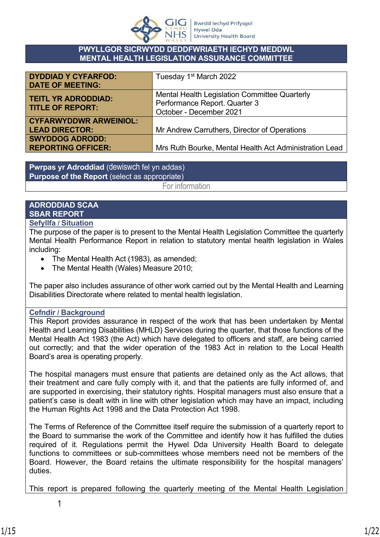

#### **PWYLLGOR SICRWYDD DEDDFWRIAETH IECHYD MEDDWL MENTAL HEALTH LEGISLATION ASSURANCE COMMITTEE**

| <b>DYDDIAD Y CYFARFOD:</b>    | Tuesday 1 <sup>st</sup> March 2022                     |
|-------------------------------|--------------------------------------------------------|
| <b>DATE OF MEETING:</b>       |                                                        |
| <b>TEITL YR ADRODDIAD:</b>    | Mental Health Legislation Committee Quarterly          |
| <b>TITLE OF REPORT:</b>       | Performance Report. Quarter 3                          |
|                               | October - December 2021                                |
| <b>CYFARWYDDWR ARWEINIOL:</b> |                                                        |
| <b>LEAD DIRECTOR:</b>         | Mr Andrew Carruthers, Director of Operations           |
| <b>SWYDDOG ADRODD:</b>        |                                                        |
| <b>REPORTING OFFICER:</b>     | Mrs Ruth Bourke, Mental Health Act Administration Lead |

**Pwrpas yr Adroddiad** (dewiswch fel yn addas) **Purpose of the Report** (select as appropriate)

For information

# **ADRODDIAD SCAA SBAR REPORT**

#### **Sefyllfa / Situation**

The purpose of the paper is to present to the Mental Health Legislation Committee the quarterly Mental Health Performance Report in relation to statutory mental health legislation in Wales including:

- The Mental Health Act (1983), as amended;
- The Mental Health (Wales) Measure 2010;

The paper also includes assurance of other work carried out by the Mental Health and Learning Disabilities Directorate where related to mental health legislation.

## **Cefndir / Background**

This Report provides assurance in respect of the work that has been undertaken by Mental Health and Learning Disabilities (MHLD) Services during the quarter, that those functions of the Mental Health Act 1983 (the Act) which have delegated to officers and staff, are being carried out correctly; and that the wider operation of the 1983 Act in relation to the Local Health Board's area is operating properly.

The hospital managers must ensure that patients are detained only as the Act allows, that their treatment and care fully comply with it, and that the patients are fully informed of, and are supported in exercising, their statutory rights. Hospital managers must also ensure that a patient's case is dealt with in line with other legislation which may have an impact, including the Human Rights Act 1998 and the Data Protection Act 1998.

The Terms of Reference of the Committee itself require the submission of a quarterly report to the Board to summarise the work of the Committee and identify how it has fulfilled the duties required of it. Regulations permit the Hywel Dda University Health Board to delegate functions to committees or sub-committees whose members need not be members of the Board. However, the Board retains the ultimate responsibility for the hospital managers' duties.

This report is prepared following the quarterly meeting of the Mental Health Legislation

1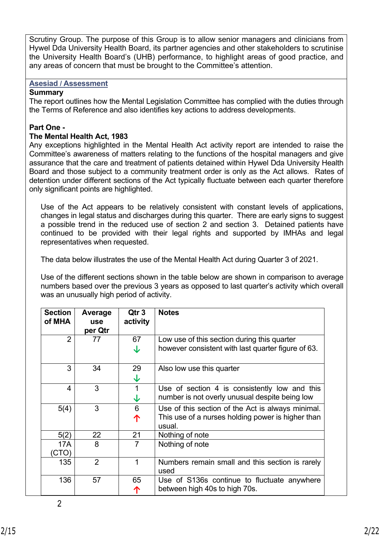Scrutiny Group. The purpose of this Group is to allow senior managers and clinicians from Hywel Dda University Health Board, its partner agencies and other stakeholders to scrutinise the University Health Board's (UHB) performance, to highlight areas of good practice, and any areas of concern that must be brought to the Committee's attention.

#### **Asesiad / Assessment**

#### **Summary**

The report outlines how the Mental Legislation Committee has complied with the duties through the Terms of Reference and also identifies key actions to address developments.

#### **Part One -**

#### **The Mental Health Act, 1983**

Any exceptions highlighted in the Mental Health Act activity report are intended to raise the Committee's awareness of matters relating to the functions of the hospital managers and give assurance that the care and treatment of patients detained within Hywel Dda University Health Board and those subject to a community treatment order is only as the Act allows. Rates of detention under different sections of the Act typically fluctuate between each quarter therefore only significant points are highlighted.

Use of the Act appears to be relatively consistent with constant levels of applications, changes in legal status and discharges during this quarter. There are early signs to suggest a possible trend in the reduced use of section 2 and section 3. Detained patients have continued to be provided with their legal rights and supported by IMHAs and legal representatives when requested.

The data below illustrates the use of the Mental Health Act during Quarter 3 of 2021.

Use of the different sections shown in the table below are shown in comparison to average numbers based over the previous 3 years as opposed to last quarter's activity which overall was an unusually high period of activity.

| <b>Section</b><br>of MHA | Average<br><b>use</b><br>per Qtr | Qtr 3<br>activity | <b>Notes</b>                                                |
|--------------------------|----------------------------------|-------------------|-------------------------------------------------------------|
| 2                        | 77                               | 67                | Low use of this section during this quarter                 |
|                          |                                  | ↓                 | however consistent with last quarter figure of 63.          |
| 3                        | 34                               | 29                | Also low use this quarter                                   |
|                          |                                  | ↓                 |                                                             |
| 4                        | 3                                |                   | Use of section 4 is consistently low and this               |
|                          |                                  | ↓                 | number is not overly unusual despite being low              |
| 5(4)                     | 3                                | 6                 | Use of this section of the Act is always minimal.           |
|                          |                                  | 个                 | This use of a nurses holding power is higher than<br>usual. |
| 5(2)                     | 22                               | 21                | Nothing of note                                             |
| 17A                      | 8                                | 7                 | Nothing of note                                             |
| (CTO)                    |                                  |                   |                                                             |
| 135                      | $\overline{2}$                   | 1                 | Numbers remain small and this section is rarely<br>used     |
| 136                      | 57                               | 65                | Use of S136s continue to fluctuate anywhere                 |
|                          |                                  |                   | between high 40s to high 70s.                               |

2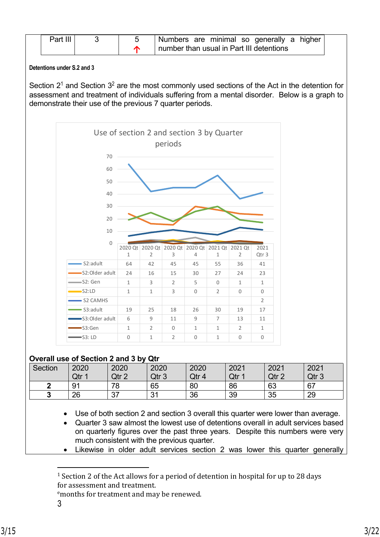| Part III |  | ' Numbers are minimal so generally a higher                              |
|----------|--|--------------------------------------------------------------------------|
|          |  | $^{\textrm{!}}$ number than usual in Part III detentions $^{\textrm{!}}$ |

#### **Detentions under S.2 and 3**

Section  $2^1$  and Section  $3^2$  are the most commonly used sections of the Act in the detention for assessment and treatment of individuals suffering from a mental disorder. Below is a graph to demonstrate their use of the previous 7 quarter periods.



#### **Overall use of Section 2 and 3 by Qtr**

| <b>Section</b> | 2020  | 2020                | 2020      | 2020  | 2021  | 2021  | 2021             |
|----------------|-------|---------------------|-----------|-------|-------|-------|------------------|
|                | Qtr 1 | Qtr 2<br>$\epsilon$ | Qtr 3     | Qtr 4 | Qtr 1 | Qtr 2 | Qtr <sub>3</sub> |
| ໍ              | 91    | 78                  | 65        | 80    | 86    | 63    | 67               |
| ◠<br>w         | 26    | $\sim$<br>، ت       | 21<br>ີ ເ | 36    | 39    | 35    | 29               |

Use of both section 2 and section 3 overall this quarter were lower than average.

 Quarter 3 saw almost the lowest use of detentions overall in adult services based on quarterly figures over the past three years. Despite this numbers were very much consistent with the previous quarter.

Likewise in older adult services section 2 was lower this quarter generally

<sup>e</sup>months for treatment and may be renewed.

<sup>&</sup>lt;sup>1</sup> Section 2 of the Act allows for a period of detention in hospital for up to 28 days for assessment and treatment.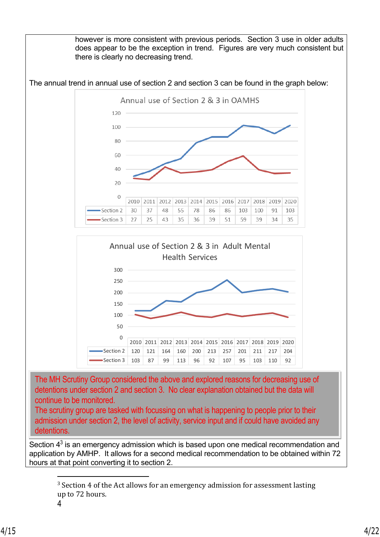however is more consistent with previous periods. Section 3 use in older adults does appear to be the exception in trend. Figures are very much consistent but there is clearly no decreasing trend.





The MH Scrutiny Group considered the above and explored reasons for decreasing use of detentions under section 2 and section 3. No clear explanation obtained but the data will continue to be monitored.

The scrutiny group are tasked with focussing on what is happening to people prior to their admission under section 2, the level of activity, service input and if could have avoided any detentions.

Section  $4<sup>3</sup>$  is an emergency admission which is based upon one medical recommendation and application by AMHP. It allows for a second medical recommendation to be obtained within 72 hours at that point converting it to section 2.

<sup>&</sup>lt;sup>3</sup> Section 4 of the Act allows for an emergency admission for assessment lasting up to 72 hours.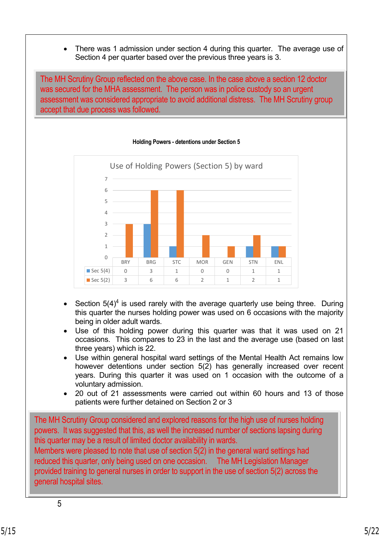There was 1 admission under section 4 during this quarter. The average use of Section 4 per quarter based over the previous three years is 3.

The MH Scrutiny Group reflected on the above case. In the case above a section 12 doctor was secured for the MHA assessment. The person was in police custody so an urgent assessment was considered appropriate to avoid additional distress. The MH Scrutiny group accept that due process was followed.



#### **Holding Powers - detentions under Section 5**

- Section  $5(4)^4$  is used rarely with the average quarterly use being three. During this quarter the nurses holding power was used on 6 occasions with the majority being in older adult wards.
- Use of this holding power during this quarter was that it was used on 21 occasions. This compares to 23 in the last and the average use (based on last three years) which is 22.
- Use within general hospital ward settings of the Mental Health Act remains low however detentions under section 5(2) has generally increased over recent years. During this quarter it was used on 1 occasion with the outcome of a voluntary admission.
- 20 out of 21 assessments were carried out within 60 hours and 13 of those patients were further detained on Section 2 or 3

The MH Scrutiny Group considered and explored reasons for the high use of nurses holding powers. It was suggested that this, as well the increased number of sections lapsing during this quarter may be a result of limited doctor availability in wards.

Members were pleased to note that use of section 5(2) in the general ward settings had reduced this quarter, only being used on one occasion. The MH Legislation Manager provided training to general nurses in order to support in the use of section 5(2) across the general hospital sites.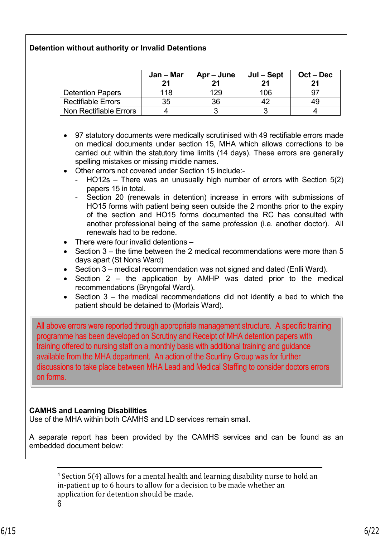## **Detention without authority or Invalid Detentions**

|                           | Jan – Mar<br>21 | Apr – June | Jul – Sept<br>21 | $Oct - Dec$ |
|---------------------------|-----------------|------------|------------------|-------------|
| <b>Detention Papers</b>   | 118             | 129        | 106              |             |
| <b>Rectifiable Errors</b> | 35              | 36         |                  | 49          |
| Non Rectifiable Errors    |                 |            |                  |             |

- 97 statutory documents were medically scrutinised with 49 rectifiable errors made on medical documents under section 15, MHA which allows corrections to be carried out within the statutory time limits (14 days). These errors are generally spelling mistakes or missing middle names.
- Other errors not covered under Section 15 include:-
	- $HO12s$  There was an unusually high number of errors with Section  $5(2)$ papers 15 in total.
	- Section 20 (renewals in detention) increase in errors with submissions of HO15 forms with patient being seen outside the 2 months prior to the expiry of the section and HO15 forms documented the RC has consulted with another professional being of the same profession (i.e. another doctor). All renewals had to be redone.
- There were four invalid detentions –
- $\bullet$  Section 3 the time between the 2 medical recommendations were more than 5 days apart (St Nons Ward)
- Section 3 medical recommendation was not signed and dated (Enlli Ward).
- Section 2 the application by AMHP was dated prior to the medical recommendations (Bryngofal Ward).
- $\bullet$  Section 3 the medical recommendations did not identify a bed to which the patient should be detained to (Morlais Ward).

All above errors were reported through appropriate management structure. A specific training programme has been developed on Scrutiny and Receipt of MHA detention papers with training offered to nursing staff on a monthly basis with additional training and guidance available from the MHA department. An action of the Scurtiny Group was for further discussions to take place between MHA Lead and Medical Staffing to consider doctors errors on forms.

## **CAMHS and Learning Disabilities**

Use of the MHA within both CAMHS and LD services remain small.

A separate report has been provided by the CAMHS services and can be found as an embedded document below:

4 Section 5(4) allows for a mental health and learning disability nurse to hold an in-patient up to 6 hours to allow for a decision to be made whether an application for detention should be made.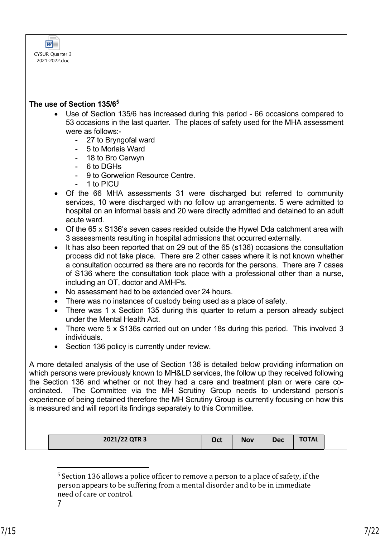

#### **The use of Section 135/6<sup>5</sup>**

- Use of Section 135/6 has increased during this period 66 occasions compared to 53 occasions in the last quarter. The places of safety used for the MHA assessment were as follows:-
	- 27 to Bryngofal ward
	- 5 to Morlais Ward
	- 18 to Bro Cerwyn
	- 6 to DGHs
	- 9 to Gorwelion Resource Centre.
	- 1 to PICU
- Of the 66 MHA assessments 31 were discharged but referred to community services, 10 were discharged with no follow up arrangements. 5 were admitted to hospital on an informal basis and 20 were directly admitted and detained to an adult acute ward.
- Of the 65 x S136's seven cases resided outside the Hywel Dda catchment area with 3 assessments resulting in hospital admissions that occurred externally.
- It has also been reported that on 29 out of the 65 (s136) occasions the consultation process did not take place. There are 2 other cases where it is not known whether a consultation occurred as there are no records for the persons. There are 7 cases of S136 where the consultation took place with a professional other than a nurse, including an OT, doctor and AMHPs.
- No assessment had to be extended over 24 hours.
- There was no instances of custody being used as a place of safety.
- There was 1 x Section 135 during this quarter to return a person already subject under the Mental Health Act.
- There were 5 x S136s carried out on under 18s during this period. This involved 3 individuals.
- Section 136 policy is currently under review.

A more detailed analysis of the use of Section 136 is detailed below providing information on which persons were previously known to MH&LD services, the follow up they received following the Section 136 and whether or not they had a care and treatment plan or were care coordinated. The Committee via the MH Scrutiny Group needs to understand person's experience of being detained therefore the MH Scrutiny Group is currently focusing on how this is measured and will report its findings separately to this Committee.

**2021/22 QTR 3 Oct Nov Dec TOTAL**

7

<sup>&</sup>lt;sup>5</sup> Section 136 allows a police officer to remove a person to a place of safety, if the person appears to be suffering from a mental disorder and to be in immediate need of care or control.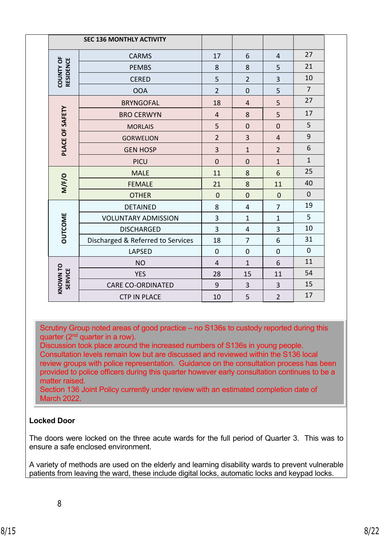|                                   | <b>SEC 136 MONTHLY ACTIVITY</b>   |                |                |                |                |
|-----------------------------------|-----------------------------------|----------------|----------------|----------------|----------------|
|                                   | <b>CARMS</b>                      | 17             | 6              | $\overline{4}$ | 27             |
|                                   | <b>PEMBS</b>                      | 8              | 8              | 5              | 21             |
| <b>COUNTY OF</b><br>RESIDENCE     | <b>CERED</b>                      | 5              | $\overline{2}$ | $\overline{3}$ | 10             |
|                                   | <b>OOA</b>                        | $\overline{2}$ | $\mathbf 0$    | 5              | $\overline{7}$ |
|                                   | <b>BRYNGOFAL</b>                  | 18             | $\overline{4}$ | 5              | 27             |
| PLACE OF SAFETY                   | <b>BRO CERWYN</b>                 | $\overline{4}$ | 8              | 5              | 17             |
|                                   | <b>MORLAIS</b>                    | 5              | $\overline{0}$ | $\mathbf 0$    | 5              |
|                                   | <b>GORWELION</b>                  | $\overline{2}$ | $\overline{3}$ | $\overline{4}$ | 9              |
|                                   | <b>GEN HOSP</b>                   | $\overline{3}$ | $\mathbf{1}$   | $\overline{2}$ | 6              |
|                                   | <b>PICU</b>                       | $\overline{0}$ | $\overline{0}$ | $\mathbf{1}$   | $\mathbf{1}$   |
|                                   | <b>MALE</b>                       | 11             | 8              | 6              | 25             |
| M/F/O                             | <b>FEMALE</b>                     | 21             | 8              | 11             | 40             |
|                                   | <b>OTHER</b>                      | $\overline{0}$ | $\overline{0}$ | $\overline{0}$ | $\mathbf 0$    |
|                                   | <b>DETAINED</b>                   | 8              | $\overline{4}$ | $\overline{7}$ | 19             |
| <b>DUTCOME</b>                    | <b>VOLUNTARY ADMISSION</b>        | $\overline{3}$ | $\mathbf{1}$   | $\mathbf{1}$   | 5              |
|                                   | <b>DISCHARGED</b>                 | 3              | $\overline{4}$ | 3              | 10             |
|                                   | Discharged & Referred to Services | 18             | $\overline{7}$ | 6              | 31             |
|                                   | <b>LAPSED</b>                     | $\mathbf 0$    | $\mathbf 0$    | $\overline{0}$ | $\mathbf 0$    |
|                                   | <b>NO</b>                         | $\overline{4}$ | $\mathbf{1}$   | 6              | 11             |
| <b>KNOWN TO</b><br><b>SERVICE</b> | <b>YES</b>                        | 28             | 15             | 11             | 54             |
|                                   | <b>CARE CO-ORDINATED</b>          | 9              | 3              | 3              | 15             |
|                                   | <b>CTP IN PLACE</b>               | 10             | 5              | $\overline{2}$ | 17             |

Scrutiny Group noted areas of good practice – no S136s to custody reported during this quarter ( $2<sup>nd</sup>$  quarter in a row).

Discussion took place around the increased numbers of S136s in young people. Consultation levels remain low but are discussed and reviewed within the S136 local review groups with police representation. Guidance on the consultation process has been provided to police officers during this quarter however early consultation continues to be a matter raised.

Section 136 Joint Policy currently under review with an estimated completion date of March 2022.

## **Locked Door**

The doors were locked on the three acute wards for the full period of Quarter 3. This was to ensure a safe enclosed environment.

A variety of methods are used on the elderly and learning disability wards to prevent vulnerable patients from leaving the ward, these include digital locks, automatic locks and keypad locks.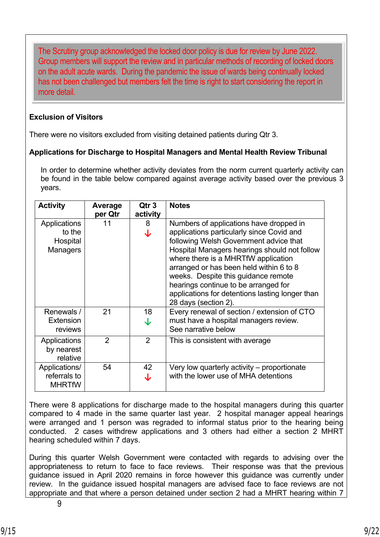The Scrutiny group acknowledged the locked door policy is due for review by June 2022. Group members will support the review and in particular methods of recording of locked doors on the adult acute wards. During the pandemic the issue of wards being continually locked has not been challenged but members felt the time is right to start considering the report in more detail.

## **Exclusion of Visitors**

There were no visitors excluded from visiting detained patients during Qtr 3.

## **Applications for Discharge to Hospital Managers and Mental Health Review Tribunal**

In order to determine whether activity deviates from the norm current quarterly activity can be found in the table below compared against average activity based over the previous 3 years.

| <b>Activity</b>                                       | Average<br>per Qtr | Qtr <sub>3</sub><br>activity | <b>Notes</b>                                                                                                                                                                                                                                                                                                                                                                                                               |
|-------------------------------------------------------|--------------------|------------------------------|----------------------------------------------------------------------------------------------------------------------------------------------------------------------------------------------------------------------------------------------------------------------------------------------------------------------------------------------------------------------------------------------------------------------------|
| Applications<br>to the<br>Hospital<br><b>Managers</b> | 11                 | 8<br>J                       | Numbers of applications have dropped in<br>applications particularly since Covid and<br>following Welsh Government advice that<br>Hospital Managers hearings should not follow<br>where there is a MHRTfW application<br>arranged or has been held within 6 to 8<br>weeks. Despite this guidance remote<br>hearings continue to be arranged for<br>applications for detentions lasting longer than<br>28 days (section 2). |
| Renewals /<br><b>Extension</b><br>reviews             | 21                 | 18<br>J                      | Every renewal of section / extension of CTO<br>must have a hospital managers review.<br>See narrative below                                                                                                                                                                                                                                                                                                                |
| Applications<br>by nearest<br>relative                | $\mathcal{P}$      | $\overline{2}$               | This is consistent with average                                                                                                                                                                                                                                                                                                                                                                                            |
| Applications/<br>referrals to<br><b>MHRTfW</b>        | 54                 | 42                           | Very low quarterly activity – proportionate<br>with the lower use of MHA detentions                                                                                                                                                                                                                                                                                                                                        |

There were 8 applications for discharge made to the hospital managers during this quarter compared to 4 made in the same quarter last year. 2 hospital manager appeal hearings were arranged and 1 person was regraded to informal status prior to the hearing being conducted. 2 cases withdrew applications and 3 others had either a section 2 MHRT hearing scheduled within 7 days.

During this quarter Welsh Government were contacted with regards to advising over the appropriateness to return to face to face reviews. Their response was that the previous guidance issued in April 2020 remains in force however this guidance was currently under review. In the guidance issued hospital managers are advised face to face reviews are not appropriate and that where a person detained under section 2 had a MHRT hearing within 7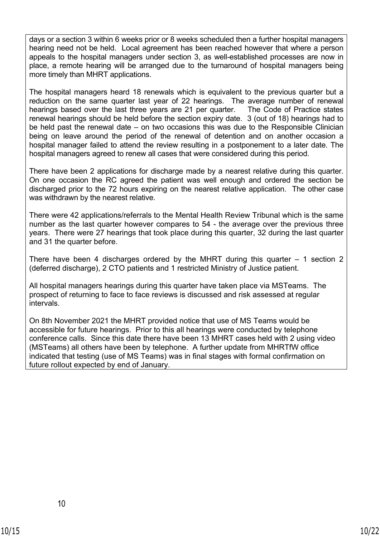days or a section 3 within 6 weeks prior or 8 weeks scheduled then a further hospital managers hearing need not be held. Local agreement has been reached however that where a person appeals to the hospital managers under section 3, as well-established processes are now in place, a remote hearing will be arranged due to the turnaround of hospital managers being more timely than MHRT applications.

The hospital managers heard 18 renewals which is equivalent to the previous quarter but a reduction on the same quarter last year of 22 hearings. The average number of renewal hearings based over the last three years are 21 per quarter. The Code of Practice states renewal hearings should be held before the section expiry date. 3 (out of 18) hearings had to be held past the renewal date – on two occasions this was due to the Responsible Clinician being on leave around the period of the renewal of detention and on another occasion a hospital manager failed to attend the review resulting in a postponement to a later date. The hospital managers agreed to renew all cases that were considered during this period.

There have been 2 applications for discharge made by a nearest relative during this quarter. On one occasion the RC agreed the patient was well enough and ordered the section be discharged prior to the 72 hours expiring on the nearest relative application. The other case was withdrawn by the nearest relative.

There were 42 applications/referrals to the Mental Health Review Tribunal which is the same number as the last quarter however compares to 54 - the average over the previous three years. There were 27 hearings that took place during this quarter, 32 during the last quarter and 31 the quarter before.

There have been 4 discharges ordered by the MHRT during this quarter  $-1$  section 2 (deferred discharge), 2 CTO patients and 1 restricted Ministry of Justice patient.

All hospital managers hearings during this quarter have taken place via MSTeams. The prospect of returning to face to face reviews is discussed and risk assessed at regular intervals.

On 8th November 2021 the MHRT provided notice that use of MS Teams would be accessible for future hearings. Prior to this all hearings were conducted by telephone conference calls. Since this date there have been 13 MHRT cases held with 2 using video (MSTeams) all others have been by telephone. A further update from MHRTfW office indicated that testing (use of MS Teams) was in final stages with formal confirmation on future rollout expected by end of January.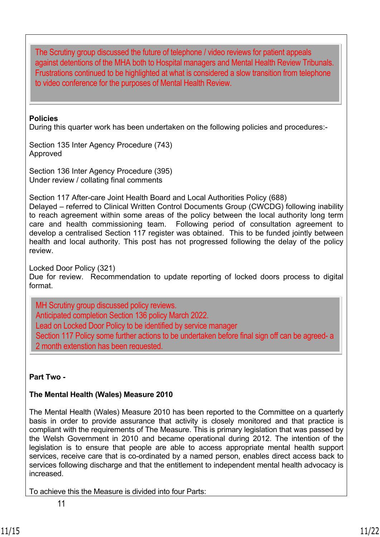The Scrutiny group discussed the future of telephone / video reviews for patient appeals against detentions of the MHA both to Hospital managers and Mental Health Review Tribunals. Frustrations continued to be highlighted at what is considered a slow transition from telephone to video conference for the purposes of Mental Health Review.

#### **Policies**

During this quarter work has been undertaken on the following policies and procedures:-

Section 135 Inter Agency Procedure (743) Approved

Section 136 Inter Agency Procedure (395) Under review / collating final comments

Section 117 After-care Joint Health Board and Local Authorities Policy (688)

Delayed – referred to Clinical Written Control Documents Group (CWCDG) following inability to reach agreement within some areas of the policy between the local authority long term care and health commissioning team. Following period of consultation agreement to develop a centralised Section 117 register was obtained. This to be funded jointly between health and local authority. This post has not progressed following the delay of the policy review.

Locked Door Policy (321)

Due for review. Recommendation to update reporting of locked doors process to digital format.

MH Scrutiny group discussed policy reviews. Anticipated completion Section 136 policy March 2022. Lead on Locked Door Policy to be identified by service manager Section 117 Policy some further actions to be undertaken before final sign off can be agreed- a 2 month extenstion has been requested.

## **Part Two -**

.

## **The Mental Health (Wales) Measure 2010**

The Mental Health (Wales) Measure 2010 has been reported to the Committee on a quarterly basis in order to provide assurance that activity is closely monitored and that practice is compliant with the requirements of The Measure. This is primary legislation that was passed by the Welsh Government in 2010 and became operational during 2012. The intention of the legislation is to ensure that people are able to access appropriate mental health support services, receive care that is co-ordinated by a named person, enables direct access back to services following discharge and that the entitlement to independent mental health advocacy is increased.

To achieve this the Measure is divided into four Parts: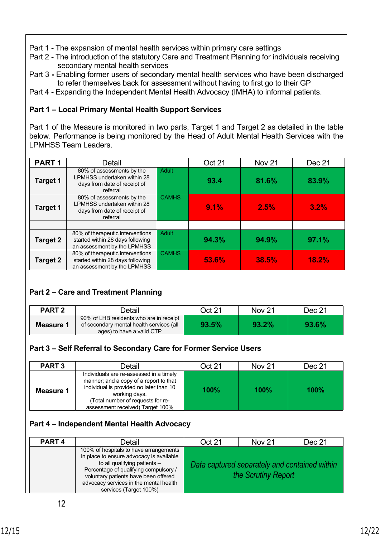- Part 1The expansion of mental health services within primary care settings
- Part 2The introduction of the statutory Care and Treatment Planning for individuals receiving secondary mental health services
- Part 3Enabling former users of secondary mental health services who have been discharged to refer themselves back for assessment without having to first go to their GP
- Part 4Expanding the Independent Mental Health Advocacy (IMHA) to informal patients.

# **Part 1 – Local Primary Mental Health Support Services**

Part 1 of the Measure is monitored in two parts, Target 1 and Target 2 as detailed in the table below. Performance is being monitored by the Head of Adult Mental Health Services with the LPMHSS Team Leaders.

| PART <sub>1</sub> | Detail                                                                                               |              | <b>Oct 21</b> | Nov <sub>21</sub> | Dec 21 |
|-------------------|------------------------------------------------------------------------------------------------------|--------------|---------------|-------------------|--------|
| <b>Target 1</b>   | 80% of assessments by the<br>LPMHSS undertaken within 28<br>days from date of receipt of<br>referral | Adult        | 93.4          | 81.6%             | 83.9%  |
| <b>Target 1</b>   | 80% of assessments by the<br>LPMHSS undertaken within 28<br>days from date of receipt of<br>referral | <b>CAMHS</b> | 9.1%          | 2.5%              | 3.2%   |
|                   |                                                                                                      |              |               |                   |        |
| Target 2          | 80% of therapeutic interventions<br>started within 28 days following<br>an assessment by the LPMHSS  | <b>Adult</b> | 94.3%         | 94.9%             | 97.1%  |
| Target 2          | 80% of therapeutic interventions<br>started within 28 days following<br>an assessment by the LPMHSS  | <b>CAMHS</b> | 53.6%         | 38.5%             | 18.2%  |

## **Part 2 – Care and Treatment Planning**

| <b>PART 2</b> | Detail                                                                                                           | Oct 21 | <b>Nov 21</b> | Dec 21 |
|---------------|------------------------------------------------------------------------------------------------------------------|--------|---------------|--------|
| Measure 1     | 90% of LHB residents who are in receipt<br>of secondary mental health services (all<br>ages) to have a valid CTP | 93.5%  | 93.2%         | 93.6%  |

## **Part 3 – Self Referral to Secondary Care for Former Service Users**

| <b>PART 3</b> | Detail                                                                                                                                                                                                                 | Oct 21 | <b>Nov 21</b> | Dec 21 |
|---------------|------------------------------------------------------------------------------------------------------------------------------------------------------------------------------------------------------------------------|--------|---------------|--------|
| Measure 1     | Individuals are re-assessed in a timely<br>manner; and a copy of a report to that<br>individual is provided no later than 10<br>working days.<br>(Total number of requests for re-<br>assessment received) Target 100% | 100%   | $100\%$       | 100%   |

## **Part 4 – Independent Mental Health Advocacy**

| <b>PART4</b> | Detail                                                                                                                                                                                                                                                                  | Oct 21 | <b>Nov 21</b>       | Dec 21                                        |
|--------------|-------------------------------------------------------------------------------------------------------------------------------------------------------------------------------------------------------------------------------------------------------------------------|--------|---------------------|-----------------------------------------------|
|              | 100% of hospitals to have arrangements<br>in place to ensure advocacy is available<br>to all qualifying patients -<br>Percentage of qualifying compulsory /<br>voluntary patients have been offered<br>advocacy services in the mental health<br>services (Target 100%) |        | the Scrutiny Report | Data captured separately and contained within |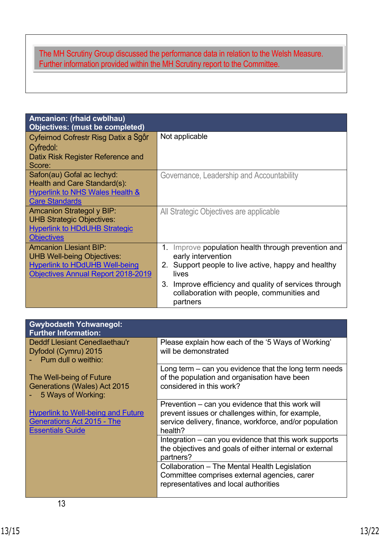# The MH Scrutiny Group discussed the performance data in relation to the Welsh Measure. Further information provided within the MH Scrutiny report to the Committee.

| Amcanion: (rhaid cwblhau)<br><b>Objectives: (must be completed)</b> |                                                                                                                    |
|---------------------------------------------------------------------|--------------------------------------------------------------------------------------------------------------------|
| Cyfeirnod Cofrestr Risg Datix a Sgôr                                | Not applicable                                                                                                     |
| Cyfredol:                                                           |                                                                                                                    |
| Datix Risk Register Reference and                                   |                                                                                                                    |
| Score:                                                              |                                                                                                                    |
| Safon(au) Gofal ac lechyd:                                          | Governance, Leadership and Accountability                                                                          |
| Health and Care Standard(s):                                        |                                                                                                                    |
| <b>Hyperlink to NHS Wales Health &amp;</b>                          |                                                                                                                    |
| <b>Care Standards</b>                                               |                                                                                                                    |
| <b>Amcanion Strategol y BIP:</b>                                    | All Strategic Objectives are applicable                                                                            |
| <b>UHB Strategic Objectives:</b>                                    |                                                                                                                    |
| <b>Hyperlink to HDdUHB Strategic</b>                                |                                                                                                                    |
| <b>Objectives</b>                                                   |                                                                                                                    |
| <b>Amcanion Llesiant BIP:</b>                                       | Improve population health through prevention and<br>1.                                                             |
| <b>UHB Well-being Objectives:</b>                                   | early intervention                                                                                                 |
| <b>Hyperlink to HDdUHB Well-being</b>                               | Support people to live active, happy and healthy<br>2.                                                             |
| Objectives Annual Report 2018-2019                                  | lives                                                                                                              |
|                                                                     | Improve efficiency and quality of services through<br>3.<br>collaboration with people, communities and<br>partners |

| <b>Gwybodaeth Ychwanegol:</b><br><b>Further Information:</b>                                              |                                                                                                                                                                              |  |
|-----------------------------------------------------------------------------------------------------------|------------------------------------------------------------------------------------------------------------------------------------------------------------------------------|--|
| <b>Deddf Llesiant Cenedlaethau'r</b><br>Dyfodol (Cymru) 2015<br>Pum dull o weithio:                       | Please explain how each of the '5 Ways of Working'<br>will be demonstrated                                                                                                   |  |
| The Well-being of Future<br>Generations (Wales) Act 2015<br>5 Ways of Working:                            | Long term $-$ can you evidence that the long term needs<br>of the population and organisation have been<br>considered in this work?                                          |  |
| <b>Hyperlink to Well-being and Future</b><br><b>Generations Act 2015 - The</b><br><b>Essentials Guide</b> | Prevention – can you evidence that this work will<br>prevent issues or challenges within, for example,<br>service delivery, finance, workforce, and/or population<br>health? |  |
|                                                                                                           | Integration – can you evidence that this work supports<br>the objectives and goals of either internal or external<br>partners?                                               |  |
|                                                                                                           | Collaboration – The Mental Health Legislation<br>Committee comprises external agencies, carer<br>representatives and local authorities                                       |  |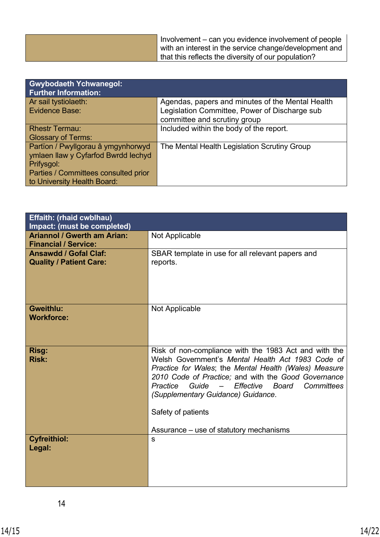| Involvement – can you evidence involvement of people<br>with an interest in the service change/development and<br>that this reflects the diversity of our population? |
|-----------------------------------------------------------------------------------------------------------------------------------------------------------------------|
|-----------------------------------------------------------------------------------------------------------------------------------------------------------------------|

| <b>Gwybodaeth Ychwanegol:</b><br><b>Further Information:</b> |                                                  |  |
|--------------------------------------------------------------|--------------------------------------------------|--|
| Ar sail tystiolaeth:                                         | Agendas, papers and minutes of the Mental Health |  |
| Evidence Base:                                               | Legislation Committee, Power of Discharge sub    |  |
|                                                              | committee and scrutiny group                     |  |
| <b>Rhestr Termau:</b>                                        | Included within the body of the report.          |  |
| <b>Glossary of Terms:</b>                                    |                                                  |  |
| Partïon / Pwyllgorau â ymgynhorwyd                           | The Mental Health Legislation Scrutiny Group     |  |
| ymlaen llaw y Cyfarfod Bwrdd Iechyd                          |                                                  |  |
| Prifysgol:                                                   |                                                  |  |
| Parties / Committees consulted prior                         |                                                  |  |
| to University Health Board:                                  |                                                  |  |

| <b>Effaith: (rhaid cwblhau)</b><br><b>Impact: (must be completed)</b> |                                                                                                                                                                                                                                                                                                                                                                                                                        |  |  |  |
|-----------------------------------------------------------------------|------------------------------------------------------------------------------------------------------------------------------------------------------------------------------------------------------------------------------------------------------------------------------------------------------------------------------------------------------------------------------------------------------------------------|--|--|--|
| <b>Ariannol / Gwerth am Arian:</b><br><b>Financial / Service:</b>     | Not Applicable                                                                                                                                                                                                                                                                                                                                                                                                         |  |  |  |
| <b>Ansawdd / Gofal Claf:</b><br><b>Quality / Patient Care:</b>        | SBAR template in use for all relevant papers and<br>reports.                                                                                                                                                                                                                                                                                                                                                           |  |  |  |
| <b>Gweithlu:</b><br><b>Workforce:</b>                                 | Not Applicable                                                                                                                                                                                                                                                                                                                                                                                                         |  |  |  |
| Risg:<br><b>Risk:</b>                                                 | Risk of non-compliance with the 1983 Act and with the<br>Welsh Government's Mental Health Act 1983 Code of<br>Practice for Wales; the Mental Health (Wales) Measure<br>2010 Code of Practice; and with the Good Governance<br>Effective<br>Board<br>Committees<br>Practice<br>Guide<br>$\overline{\phantom{0}}$<br>(Supplementary Guidance) Guidance.<br>Safety of patients<br>Assurance – use of statutory mechanisms |  |  |  |
| <b>Cyfreithiol:</b><br>Legal:                                         | S                                                                                                                                                                                                                                                                                                                                                                                                                      |  |  |  |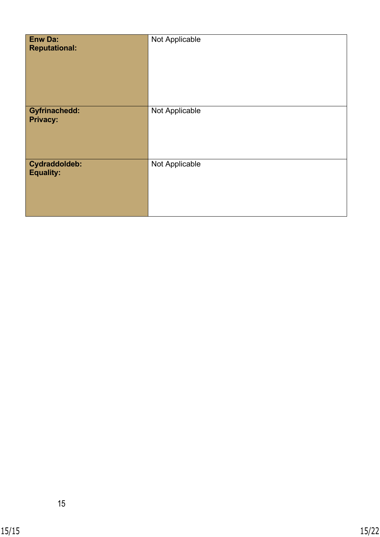| <b>Enw Da:</b><br><b>Reputational:</b>  | Not Applicable |
|-----------------------------------------|----------------|
| <b>Gyfrinachedd:</b><br><b>Privacy:</b> | Not Applicable |
| Cydraddoldeb:<br><b>Equality:</b>       | Not Applicable |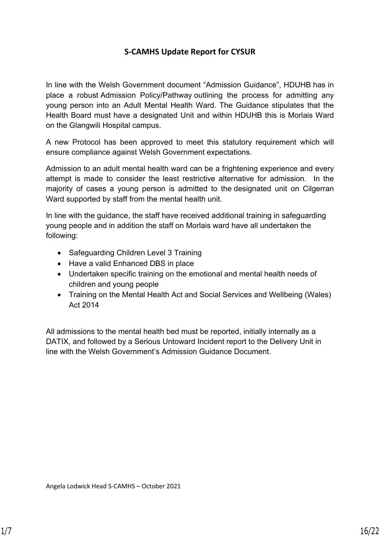# **S-CAMHS Update Report for CYSUR**

In line with the Welsh Government document "Admission Guidance", HDUHB has in place a robust Admission Policy/Pathway outlining the process for admitting any young person into an Adult Mental Health Ward. The Guidance stipulates that the Health Board must have a designated Unit and within HDUHB this is Morlais Ward on the Glangwili Hospital campus.

A new Protocol has been approved to meet this statutory requirement which will ensure compliance against Welsh Government expectations.

Admission to an adult mental health ward can be a frightening experience and every attempt is made to consider the least restrictive alternative for admission. In the majority of cases a young person is admitted to the designated unit on Cilgerran Ward supported by staff from the mental health unit.

In line with the guidance, the staff have received additional training in safeguarding young people and in addition the staff on Morlais ward have all undertaken the following:

- Safeguarding Children Level 3 Training
- Have a valid Enhanced DBS in place
- Undertaken specific training on the emotional and mental health needs of children and young people
- Training on the Mental Health Act and Social Services and Wellbeing (Wales) Act 2014

All admissions to the mental health bed must be reported, initially internally as a DATIX, and followed by a Serious Untoward Incident report to the Delivery Unit in line with the Welsh Government's Admission Guidance Document.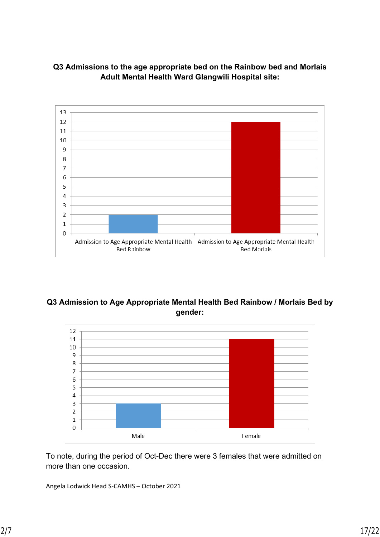



## **Q3 Admission to Age Appropriate Mental Health Bed Rainbow / Morlais Bed by gender:**



To note, during the period of Oct-Dec there were 3 females that were admitted on more than one occasion.

Angela Lodwick Head S-CAMHS – October 2021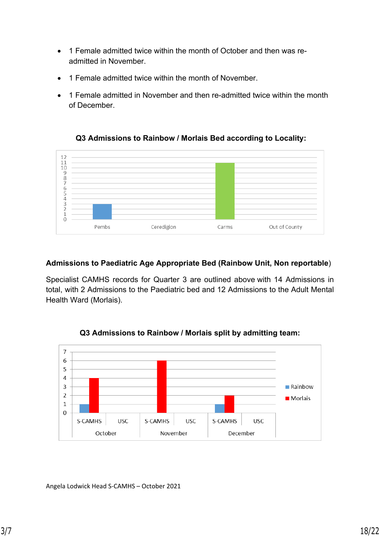- 1 Female admitted twice within the month of October and then was readmitted in November.
- 1 Female admitted twice within the month of November.
- 1 Female admitted in November and then re-admitted twice within the month of December.



## **Q3 Admissions to Rainbow / Morlais Bed according to Locality:**

## **Admissions to Paediatric Age Appropriate Bed (Rainbow Unit, Non reportable**)

Specialist CAMHS records for Quarter 3 are outlined above with 14 Admissions in total, with 2 Admissions to the Paediatric bed and 12 Admissions to the Adult Mental Health Ward (Morlais).



## **Q3 Admissions to Rainbow / Morlais split by admitting team:**

Angela Lodwick Head S-CAMHS – October 2021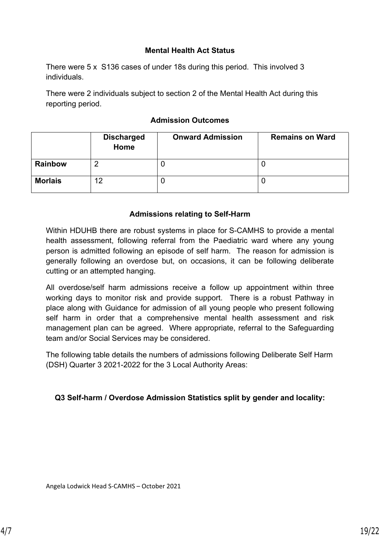#### **Mental Health Act Status**

There were 5 x S136 cases of under 18s during this period. This involved 3 individuals.

There were 2 individuals subject to section 2 of the Mental Health Act during this reporting period.

## **Admission Outcomes**

|                | <b>Discharged</b><br>Home | <b>Onward Admission</b> | <b>Remains on Ward</b> |
|----------------|---------------------------|-------------------------|------------------------|
| <b>Rainbow</b> |                           | U                       |                        |
| <b>Morlais</b> | 12                        | U                       |                        |

## **Admissions relating to Self-Harm**

Within HDUHB there are robust systems in place for S-CAMHS to provide a mental health assessment, following referral from the Paediatric ward where any young person is admitted following an episode of self harm. The reason for admission is generally following an overdose but, on occasions, it can be following deliberate cutting or an attempted hanging.

All overdose/self harm admissions receive a follow up appointment within three working days to monitor risk and provide support. There is a robust Pathway in place along with Guidance for admission of all young people who present following self harm in order that a comprehensive mental health assessment and risk management plan can be agreed. Where appropriate, referral to the Safeguarding team and/or Social Services may be considered.

The following table details the numbers of admissions following Deliberate Self Harm (DSH) Quarter 3 2021-2022 for the 3 Local Authority Areas:

## **Q3 Self-harm / Overdose Admission Statistics split by gender and locality:**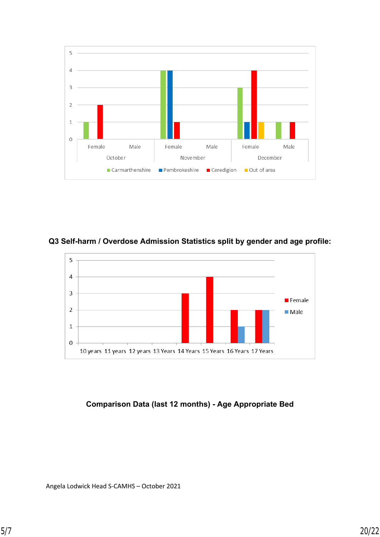

**Q3 Self-harm / Overdose Admission Statistics split by gender and age profile:**



## **Comparison Data (last 12 months) - Age Appropriate Bed**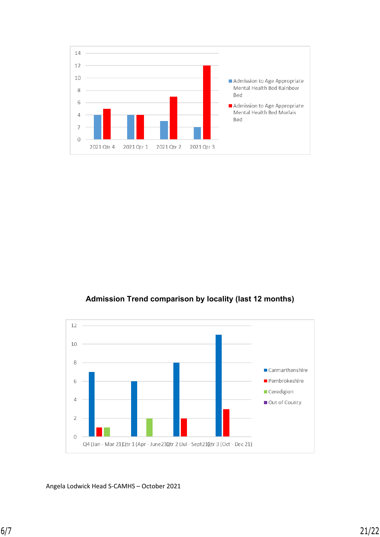

## **Admission Trend comparison by locality (last 12 months)**



Angela Lodwick Head S-CAMHS – October 2021